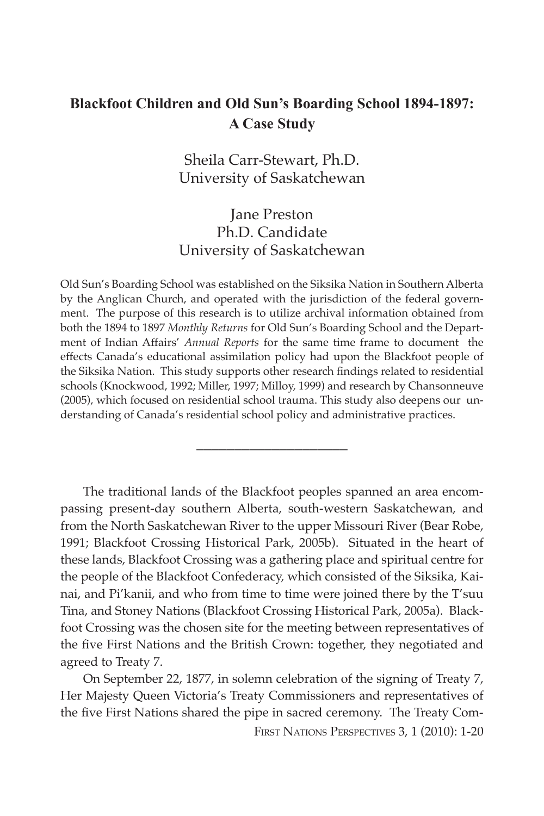# **Blackfoot Children and Old Sun's Boarding School 1894-1897: A Case Study**

Sheila Carr-Stewart, Ph.D. University of Saskatchewan

# Jane Preston Ph.D. Candidate University of Saskatchewan

Old Sun's Boarding School was established on the Siksika Nation in Southern Alberta by the Anglican Church, and operated with the jurisdiction of the federal government. The purpose of this research is to utilize archival information obtained from both the 1894 to 1897 *Monthly Returns* for Old Sun's Boarding School and the Department of Indian Affairs' *Annual Reports* for the same time frame to document the effects Canada's educational assimilation policy had upon the Blackfoot people of the Siksika Nation. This study supports other research findings related to residential schools (Knockwood, 1992; Miller, 1997; Milloy, 1999) and research by Chansonneuve (2005), which focused on residential school trauma. This study also deepens our understanding of Canada's residential school policy and administrative practices.

\_\_\_\_\_\_\_\_\_\_\_\_\_\_\_\_\_\_\_\_

The traditional lands of the Blackfoot peoples spanned an area encompassing present-day southern Alberta, south-western Saskatchewan, and from the North Saskatchewan River to the upper Missouri River (Bear Robe, 1991; Blackfoot Crossing Historical Park, 2005b). Situated in the heart of these lands, Blackfoot Crossing was a gathering place and spiritual centre for the people of the Blackfoot Confederacy, which consisted of the Siksika, Kainai, and Pi'kanii, and who from time to time were joined there by the T'suu Tina, and Stoney Nations (Blackfoot Crossing Historical Park, 2005a). Blackfoot Crossing was the chosen site for the meeting between representatives of the five First Nations and the British Crown: together, they negotiated and agreed to Treaty 7.

On September 22, 1877, in solemn celebration of the signing of Treaty 7, Her Majesty Queen Victoria's Treaty Commissioners and representatives of the five First Nations shared the pipe in sacred ceremony. The Treaty Com-

FIRST NATIONS PERSPECTIVES 3, 1 (2010): 1-20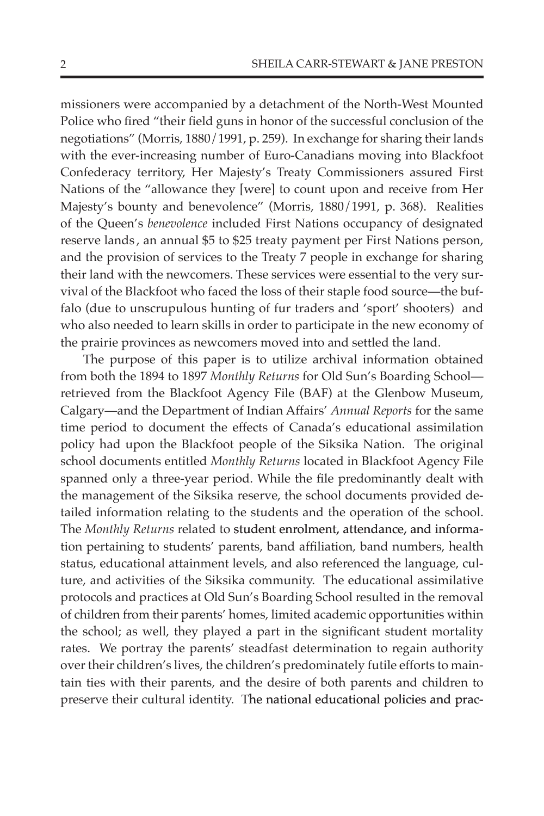missioners were accompanied by a detachment of the North-West Mounted Police who fired "their field guns in honor of the successful conclusion of the negotiations" (Morris, 1880/1991, p. 259). In exchange for sharing their lands with the ever-increasing number of Euro-Canadians moving into Blackfoot Confederacy territory, Her Majesty's Treaty Commissioners assured First Nations of the "allowance they [were] to count upon and receive from Her Majesty's bounty and benevolence" (Morris, 1880/1991, p. 368). Realities of the Queen's *benevolence* included First Nations occupancy of designated reserve lands , an annual \$5 to \$25 treaty payment per First Nations person, and the provision of services to the Treaty 7 people in exchange for sharing their land with the newcomers. These services were essential to the very survival of the Blackfoot who faced the loss of their staple food source—the buffalo (due to unscrupulous hunting of fur traders and 'sport' shooters) and who also needed to learn skills in order to participate in the new economy of the prairie provinces as newcomers moved into and settled the land.

The purpose of this paper is to utilize archival information obtained from both the 1894 to 1897 *Monthly Returns* for Old Sun's Boarding School retrieved from the Blackfoot Agency File (BAF) at the Glenbow Museum, Calgary—and the Department of Indian Affairs' *Annual Reports* for the same time period to document the effects of Canada's educational assimilation policy had upon the Blackfoot people of the Siksika Nation. The original school documents entitled *Monthly Returns* located in Blackfoot Agency File spanned only a three-year period. While the file predominantly dealt with the management of the Siksika reserve, the school documents provided detailed information relating to the students and the operation of the school. The *Monthly Returns* related to student enrolment, attendance, and information pertaining to students' parents, band affiliation, band numbers, health status, educational attainment levels, and also referenced the language, culture, and activities of the Siksika community. The educational assimilative protocols and practices at Old Sun's Boarding School resulted in the removal of children from their parents' homes, limited academic opportunities within the school; as well, they played a part in the significant student mortality rates. We portray the parents' steadfast determination to regain authority over their children's lives, the children's predominately futile efforts to maintain ties with their parents, and the desire of both parents and children to preserve their cultural identity. The national educational policies and prac-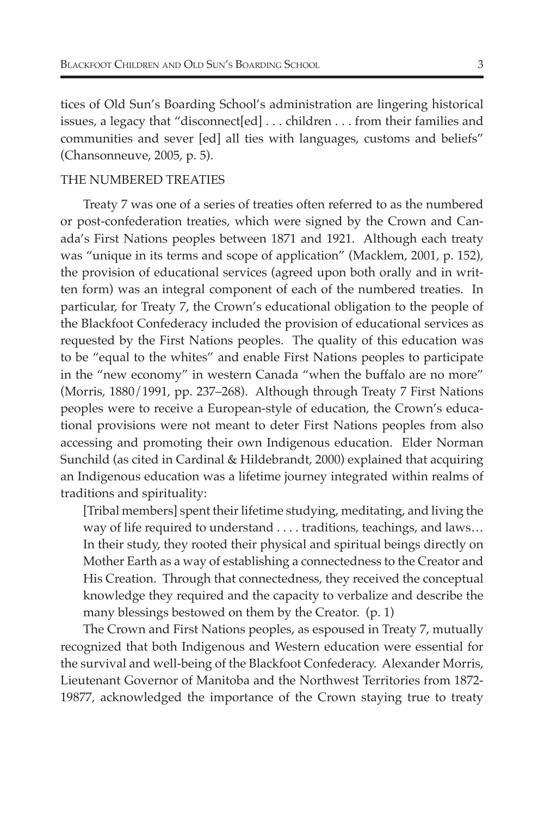tices of Old Sun's Boarding School's administration are lingering historical issues, a legacy that "disconnect[ed] . . . children . . . from their families and communities and sever [ed] all ties with languages, customs and beliefs" (Chansonneuve, 2005, p. 5).

#### THE NUMBERED TREATIES

Treaty 7 was one of a series of treaties often referred to as the numbered or post-confederation treaties, which were signed by the Crown and Canada's First Nations peoples between 1871 and 1921. Although each treaty was "unique in its terms and scope of application" (Macklem, 2001, p. 152), the provision of educational services (agreed upon both orally and in written form) was an integral component of each of the numbered treaties. In particular, for Treaty 7, the Crown's educational obligation to the people of the Blackfoot Confederacy included the provision of educational services as requested by the First Nations peoples. The quality of this education was to be "equal to the whites" and enable First Nations peoples to participate in the "new economy" in western Canada "when the buffalo are no more" (Morris, 1880/1991, pp. 237–268). Although through Treaty 7 First Nations peoples were to receive a European-style of education, the Crown's educational provisions were not meant to deter First Nations peoples from also accessing and promoting their own Indigenous education. Elder Norman Sunchild (as cited in Cardinal & Hildebrandt, 2000) explained that acquiring an Indigenous education was a lifetime journey integrated within realms of traditions and spirituality:

[Tribal members] spent their lifetime studying, meditating, and living the way of life required to understand . . . . traditions, teachings, and laws… In their study, they rooted their physical and spiritual beings directly on Mother Earth as a way of establishing a connectedness to the Creator and His Creation. Through that connectedness, they received the conceptual knowledge they required and the capacity to verbalize and describe the many blessings bestowed on them by the Creator. (p. 1)

The Crown and First Nations peoples, as espoused in Treaty 7, mutually recognized that both Indigenous and Western education were essential for the survival and well-being of the Blackfoot Confederacy. Alexander Morris, Lieutenant Governor of Manitoba and the Northwest Territories from 1872- 19877, acknowledged the importance of the Crown staying true to treaty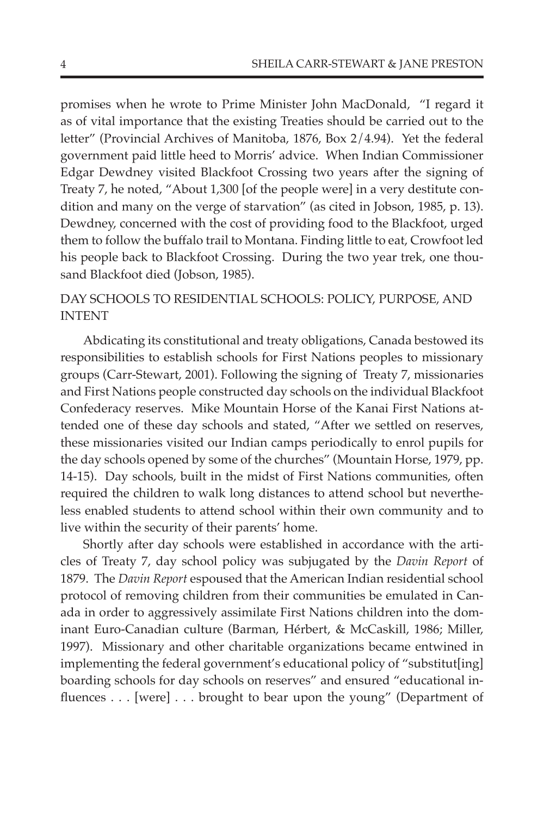promises when he wrote to Prime Minister John MacDonald, "I regard it as of vital importance that the existing Treaties should be carried out to the letter" (Provincial Archives of Manitoba, 1876, Box 2/4.94). Yet the federal government paid little heed to Morris' advice. When Indian Commissioner Edgar Dewdney visited Blackfoot Crossing two years after the signing of Treaty 7, he noted, "About 1,300 [of the people were] in a very destitute condition and many on the verge of starvation" (as cited in Jobson, 1985, p. 13). Dewdney, concerned with the cost of providing food to the Blackfoot, urged them to follow the buffalo trail to Montana. Finding little to eat, Crowfoot led his people back to Blackfoot Crossing. During the two year trek, one thousand Blackfoot died (Jobson, 1985).

### DAY SCHOOLS TO RESIDENTIAL SCHOOLS: POLICY, PURPOSE, AND INTENT

Abdicating its constitutional and treaty obligations, Canada bestowed its responsibilities to establish schools for First Nations peoples to missionary groups (Carr-Stewart, 2001). Following the signing of Treaty 7, missionaries and First Nations people constructed day schools on the individual Blackfoot Confederacy reserves. Mike Mountain Horse of the Kanai First Nations attended one of these day schools and stated, "After we settled on reserves, these missionaries visited our Indian camps periodically to enrol pupils for the day schools opened by some of the churches" (Mountain Horse, 1979, pp. 14-15). Day schools, built in the midst of First Nations communities, often required the children to walk long distances to attend school but nevertheless enabled students to attend school within their own community and to live within the security of their parents' home.

Shortly after day schools were established in accordance with the articles of Treaty 7, day school policy was subjugated by the *Davin Report* of 1879. The *Davin Report* espoused that the American Indian residential school protocol of removing children from their communities be emulated in Canada in order to aggressively assimilate First Nations children into the dominant Euro-Canadian culture (Barman, Hérbert, & McCaskill, 1986; Miller, 1997). Missionary and other charitable organizations became entwined in implementing the federal government's educational policy of "substitut[ing] boarding schools for day schools on reserves" and ensured "educational influences . . . [were] . . . brought to bear upon the young" (Department of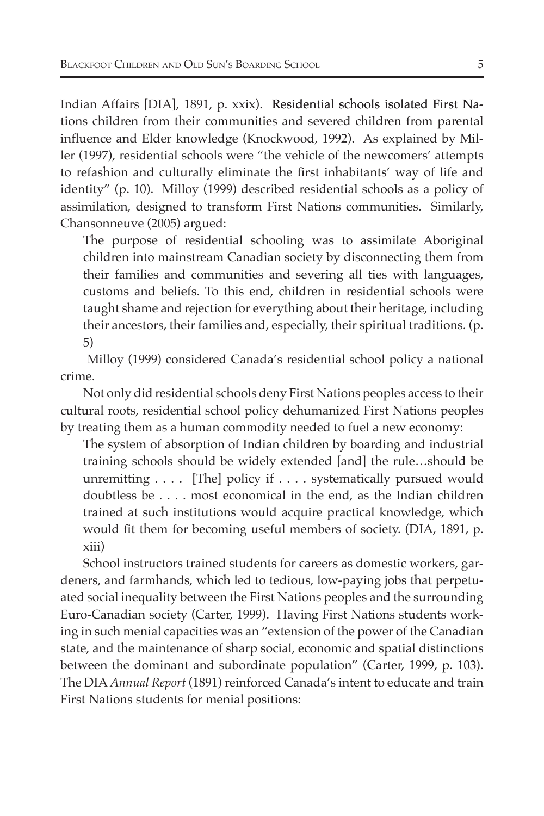Indian Affairs [DIA], 1891, p. xxix). Residential schools isolated First Nations children from their communities and severed children from parental influence and Elder knowledge (Knockwood, 1992). As explained by Miller (1997), residential schools were "the vehicle of the newcomers' attempts to refashion and culturally eliminate the first inhabitants' way of life and identity" (p. 10). Milloy (1999) described residential schools as a policy of assimilation, designed to transform First Nations communities. Similarly, Chansonneuve (2005) argued:

The purpose of residential schooling was to assimilate Aboriginal children into mainstream Canadian society by disconnecting them from their families and communities and severing all ties with languages, customs and beliefs. To this end, children in residential schools were taught shame and rejection for everything about their heritage, including their ancestors, their families and, especially, their spiritual traditions. (p. 5)

 Milloy (1999) considered Canada's residential school policy a national crime.

Not only did residential schools deny First Nations peoples access to their cultural roots, residential school policy dehumanized First Nations peoples by treating them as a human commodity needed to fuel a new economy:

The system of absorption of Indian children by boarding and industrial training schools should be widely extended [and] the rule…should be unremitting . . . . [The] policy if . . . . systematically pursued would doubtless be . . . . most economical in the end, as the Indian children trained at such institutions would acquire practical knowledge, which would fit them for becoming useful members of society. (DIA, 1891, p. xiii)

School instructors trained students for careers as domestic workers, gardeners, and farmhands, which led to tedious, low-paying jobs that perpetuated social inequality between the First Nations peoples and the surrounding Euro-Canadian society (Carter, 1999). Having First Nations students working in such menial capacities was an "extension of the power of the Canadian state, and the maintenance of sharp social, economic and spatial distinctions between the dominant and subordinate population" (Carter, 1999, p. 103). The DIA *Annual Report* (1891) reinforced Canada's intent to educate and train First Nations students for menial positions: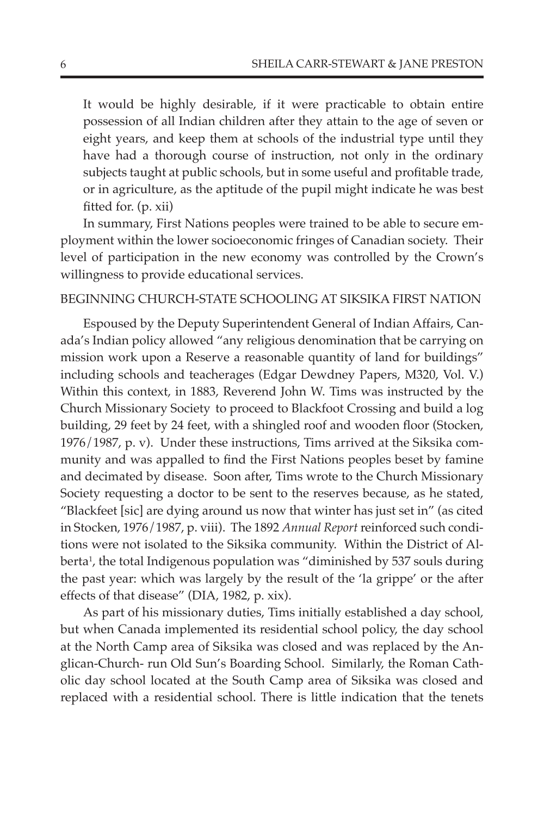It would be highly desirable, if it were practicable to obtain entire possession of all Indian children after they attain to the age of seven or eight years, and keep them at schools of the industrial type until they have had a thorough course of instruction, not only in the ordinary subjects taught at public schools, but in some useful and profitable trade, or in agriculture, as the aptitude of the pupil might indicate he was best fitted for. (p. xii)

In summary, First Nations peoples were trained to be able to secure employment within the lower socioeconomic fringes of Canadian society. Their level of participation in the new economy was controlled by the Crown's willingness to provide educational services.

#### BEGINNING CHURCH-STATE SCHOOLING AT SIKSIKA FIRST NATION

Espoused by the Deputy Superintendent General of Indian Affairs, Canada's Indian policy allowed "any religious denomination that be carrying on mission work upon a Reserve a reasonable quantity of land for buildings" including schools and teacherages (Edgar Dewdney Papers, M320, Vol. V.) Within this context, in 1883, Reverend John W. Tims was instructed by the Church Missionary Society to proceed to Blackfoot Crossing and build a log building, 29 feet by 24 feet, with a shingled roof and wooden floor (Stocken, 1976/1987, p. v). Under these instructions, Tims arrived at the Siksika community and was appalled to find the First Nations peoples beset by famine and decimated by disease. Soon after, Tims wrote to the Church Missionary Society requesting a doctor to be sent to the reserves because, as he stated, "Blackfeet [sic] are dying around us now that winter has just set in" (as cited in Stocken, 1976/1987, p. viii). The 1892 *Annual Report* reinforced such conditions were not isolated to the Siksika community. Within the District of Alberta<sup>1</sup>, the total Indigenous population was "diminished by 537 souls during the past year: which was largely by the result of the 'la grippe' or the after effects of that disease" (DIA, 1982, p. xix).

As part of his missionary duties, Tims initially established a day school, but when Canada implemented its residential school policy, the day school at the North Camp area of Siksika was closed and was replaced by the Anglican-Church- run Old Sun's Boarding School. Similarly, the Roman Catholic day school located at the South Camp area of Siksika was closed and replaced with a residential school. There is little indication that the tenets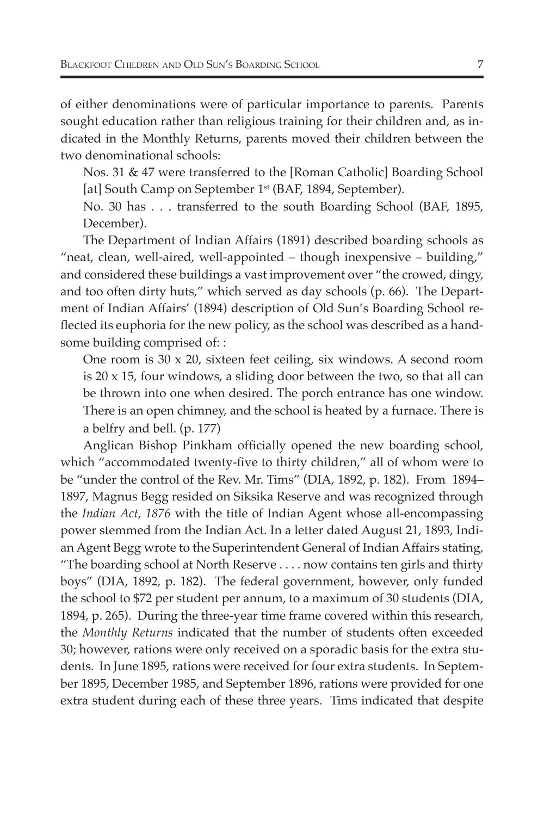of either denominations were of particular importance to parents. Parents sought education rather than religious training for their children and, as indicated in the Monthly Returns, parents moved their children between the two denominational schools:

Nos. 31 & 47 were transferred to the [Roman Catholic] Boarding School [at] South Camp on September 1<sup>st</sup> (BAF, 1894, September).

No. 30 has . . . transferred to the south Boarding School (BAF, 1895, December).

The Department of Indian Affairs (1891) described boarding schools as "neat, clean, well-aired, well-appointed – though inexpensive – building," and considered these buildings a vast improvement over "the crowed, dingy, and too often dirty huts," which served as day schools (p. 66). The Department of Indian Affairs' (1894) description of Old Sun's Boarding School reflected its euphoria for the new policy, as the school was described as a handsome building comprised of::

One room is 30 x 20, sixteen feet ceiling, six windows. A second room is 20 x 15, four windows, a sliding door between the two, so that all can be thrown into one when desired. The porch entrance has one window. There is an open chimney, and the school is heated by a furnace. There is a belfry and bell. (p. 177)

Anglican Bishop Pinkham officially opened the new boarding school, which "accommodated twenty-five to thirty children," all of whom were to be "under the control of the Rev. Mr. Tims" (DIA, 1892, p. 182). From 1894– 1897, Magnus Begg resided on Siksika Reserve and was recognized through the *Indian Act, 1876* with the title of Indian Agent whose all-encompassing power stemmed from the Indian Act. In a letter dated August 21, 1893, Indian Agent Begg wrote to the Superintendent General of Indian Affairs stating, "The boarding school at North Reserve . . . . now contains ten girls and thirty boys" (DIA, 1892, p. 182). The federal government, however, only funded the school to \$72 per student per annum, to a maximum of 30 students (DIA, 1894, p. 265). During the three-year time frame covered within this research, the *Monthly Returns* indicated that the number of students often exceeded 30; however, rations were only received on a sporadic basis for the extra students. In June 1895, rations were received for four extra students. In September 1895, December 1985, and September 1896, rations were provided for one extra student during each of these three years. Tims indicated that despite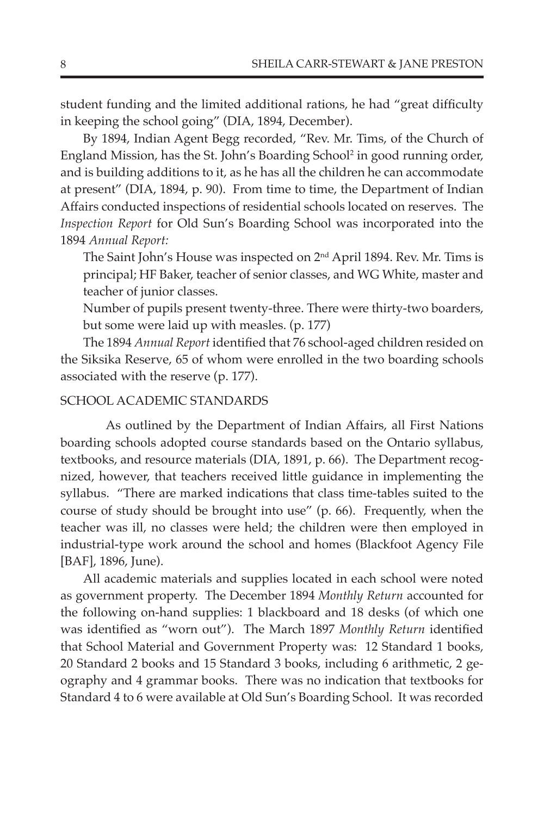student funding and the limited additional rations, he had "great difficulty in keeping the school going" (DIA, 1894, December).

By 1894, Indian Agent Begg recorded, "Rev. Mr. Tims, of the Church of England Mission, has the St. John's Boarding School<sup>2</sup> in good running order, and is building additions to it, as he has all the children he can accommodate at present" (DIA, 1894, p. 90). From time to time, the Department of Indian Affairs conducted inspections of residential schools located on reserves. The *Inspection Report* for Old Sun's Boarding School was incorporated into the 1894 *Annual Report:* 

The Saint John's House was inspected on 2nd April 1894. Rev. Mr. Tims is principal; HF Baker, teacher of senior classes, and WG White, master and teacher of junior classes.

Number of pupils present twenty-three. There were thirty-two boarders, but some were laid up with measles. (p. 177)

The 1894 *Annual Report* identified that 76 school-aged children resided on the Siksika Reserve, 65 of whom were enrolled in the two boarding schools associated with the reserve (p. 177).

### SCHOOL ACADEMIC STANDARDS

As outlined by the Department of Indian Affairs, all First Nations boarding schools adopted course standards based on the Ontario syllabus, textbooks, and resource materials (DIA, 1891, p. 66). The Department recognized, however, that teachers received little guidance in implementing the syllabus. "There are marked indications that class time-tables suited to the course of study should be brought into use" (p. 66). Frequently, when the teacher was ill, no classes were held; the children were then employed in industrial-type work around the school and homes (Blackfoot Agency File [BAF], 1896, June).

All academic materials and supplies located in each school were noted as government property. The December 1894 *Monthly Return* accounted for the following on-hand supplies: 1 blackboard and 18 desks (of which one was identified as "worn out"). The March 1897 *Monthly Return* identified that School Material and Government Property was: 12 Standard 1 books, 20 Standard 2 books and 15 Standard 3 books, including 6 arithmetic, 2 geography and 4 grammar books. There was no indication that textbooks for Standard 4 to 6 were available at Old Sun's Boarding School. It was recorded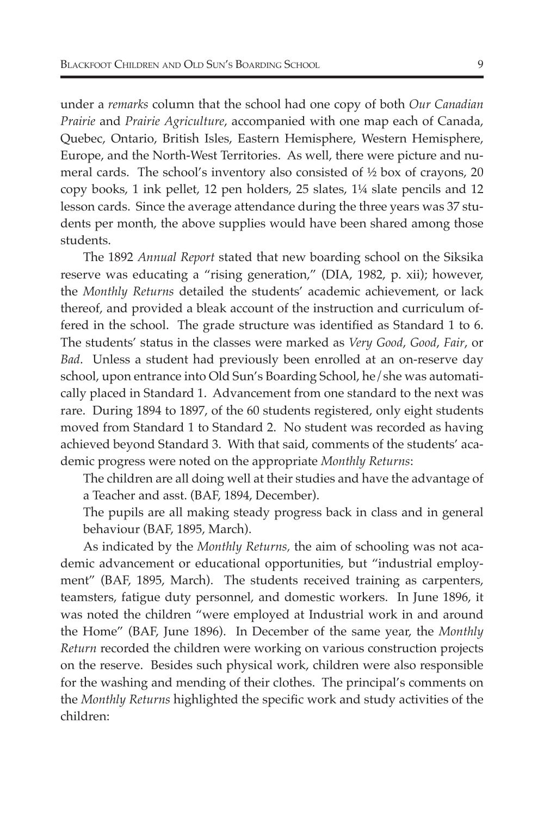under a *remarks* column that the school had one copy of both *Our Canadian Prairie* and *Prairie Agriculture*, accompanied with one map each of Canada, Quebec, Ontario, British Isles, Eastern Hemisphere, Western Hemisphere, Europe, and the North-West Territories. As well, there were picture and numeral cards. The school's inventory also consisted of ½ box of crayons, 20 copy books, 1 ink pellet, 12 pen holders, 25 slates, 1¼ slate pencils and 12 lesson cards. Since the average attendance during the three years was 37 students per month, the above supplies would have been shared among those students.

The 1892 *Annual Report* stated that new boarding school on the Siksika reserve was educating a "rising generation," (DIA, 1982, p. xii); however, the *Monthly Returns* detailed the students' academic achievement, or lack thereof, and provided a bleak account of the instruction and curriculum offered in the school. The grade structure was identified as Standard 1 to 6. The students' status in the classes were marked as *Very Good*, *Good*, *Fair*, or *Bad*. Unless a student had previously been enrolled at an on-reserve day school, upon entrance into Old Sun's Boarding School, he/she was automatically placed in Standard 1. Advancement from one standard to the next was rare. During 1894 to 1897, of the 60 students registered, only eight students moved from Standard 1 to Standard 2. No student was recorded as having achieved beyond Standard 3. With that said, comments of the students' academic progress were noted on the appropriate *Monthly Returns*:

The children are all doing well at their studies and have the advantage of a Teacher and asst. (BAF, 1894, December).

The pupils are all making steady progress back in class and in general behaviour (BAF, 1895, March).

As indicated by the *Monthly Returns,* the aim of schooling was not academic advancement or educational opportunities, but "industrial employment" (BAF, 1895, March). The students received training as carpenters, teamsters, fatigue duty personnel, and domestic workers. In June 1896, it was noted the children "were employed at Industrial work in and around the Home" (BAF, June 1896). In December of the same year, the *Monthly Return* recorded the children were working on various construction projects on the reserve. Besides such physical work, children were also responsible for the washing and mending of their clothes. The principal's comments on the *Monthly Returns* highlighted the specific work and study activities of the children: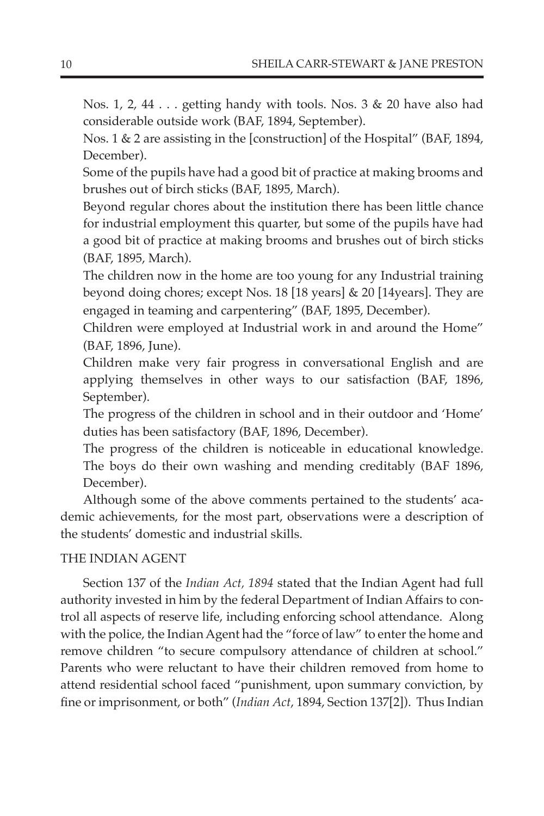Nos. 1, 2, 44 . . . getting handy with tools. Nos. 3 & 20 have also had considerable outside work (BAF, 1894, September).

Nos. 1 & 2 are assisting in the [construction] of the Hospital" (BAF, 1894, December).

Some of the pupils have had a good bit of practice at making brooms and brushes out of birch sticks (BAF, 1895, March).

Beyond regular chores about the institution there has been little chance for industrial employment this quarter, but some of the pupils have had a good bit of practice at making brooms and brushes out of birch sticks (BAF, 1895, March).

The children now in the home are too young for any Industrial training beyond doing chores; except Nos. 18 [18 years] & 20 [14years]. They are engaged in teaming and carpentering" (BAF, 1895, December).

Children were employed at Industrial work in and around the Home" (BAF, 1896, June).

Children make very fair progress in conversational English and are applying themselves in other ways to our satisfaction (BAF, 1896, September).

The progress of the children in school and in their outdoor and 'Home' duties has been satisfactory (BAF, 1896, December).

The progress of the children is noticeable in educational knowledge. The boys do their own washing and mending creditably (BAF 1896, December).

Although some of the above comments pertained to the students' academic achievements, for the most part, observations were a description of the students' domestic and industrial skills.

## THE INDIAN AGENT

Section 137 of the *Indian Act, 1894* stated that the Indian Agent had full authority invested in him by the federal Department of Indian Affairs to control all aspects of reserve life, including enforcing school attendance. Along with the police, the Indian Agent had the "force of law" to enter the home and remove children "to secure compulsory attendance of children at school." Parents who were reluctant to have their children removed from home to attend residential school faced "punishment, upon summary conviction, by fine or imprisonment, or both" (*Indian Act*, 1894, Section 137[2]). Thus Indian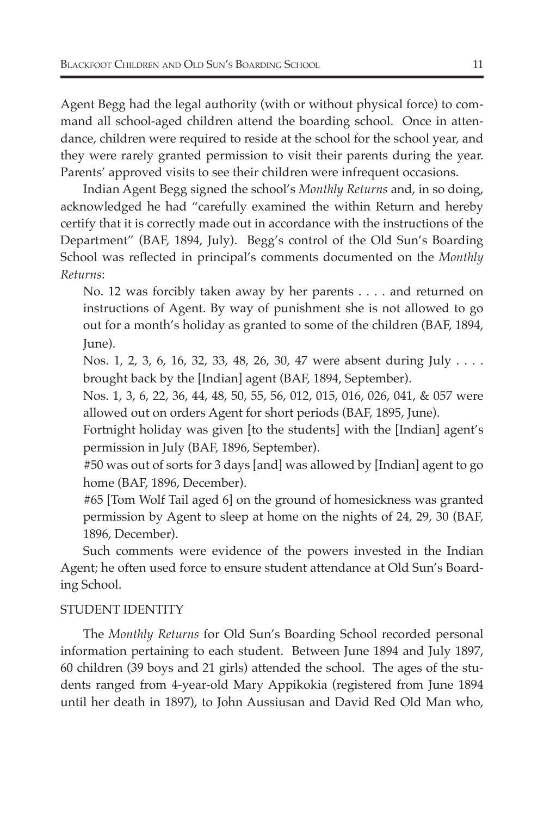Agent Begg had the legal authority (with or without physical force) to command all school-aged children attend the boarding school. Once in attendance, children were required to reside at the school for the school year, and they were rarely granted permission to visit their parents during the year. Parents' approved visits to see their children were infrequent occasions.

Indian Agent Begg signed the school's *Monthly Returns* and, in so doing, acknowledged he had "carefully examined the within Return and hereby certify that it is correctly made out in accordance with the instructions of the Department" (BAF, 1894, July). Begg's control of the Old Sun's Boarding School was reflected in principal's comments documented on the *Monthly Returns*:

No. 12 was forcibly taken away by her parents . . . . and returned on instructions of Agent. By way of punishment she is not allowed to go out for a month's holiday as granted to some of the children (BAF, 1894, June).

Nos. 1, 2, 3, 6, 16, 32, 33, 48, 26, 30, 47 were absent during July . . . . brought back by the [Indian] agent (BAF, 1894, September).

Nos. 1, 3, 6, 22, 36, 44, 48, 50, 55, 56, 012, 015, 016, 026, 041, & 057 were allowed out on orders Agent for short periods (BAF, 1895, June).

Fortnight holiday was given [to the students] with the [Indian] agent's permission in July (BAF, 1896, September).

#50 was out of sorts for 3 days [and] was allowed by [Indian] agent to go home (BAF, 1896, December).

#65 [Tom Wolf Tail aged 6] on the ground of homesickness was granted permission by Agent to sleep at home on the nights of 24, 29, 30 (BAF, 1896, December).

Such comments were evidence of the powers invested in the Indian Agent; he often used force to ensure student attendance at Old Sun's Boarding School.

### STUDENT IDENTITY

The *Monthly Returns* for Old Sun's Boarding School recorded personal information pertaining to each student. Between June 1894 and July 1897, 60 children (39 boys and 21 girls) attended the school. The ages of the students ranged from 4-year-old Mary Appikokia (registered from June 1894 until her death in 1897), to John Aussiusan and David Red Old Man who,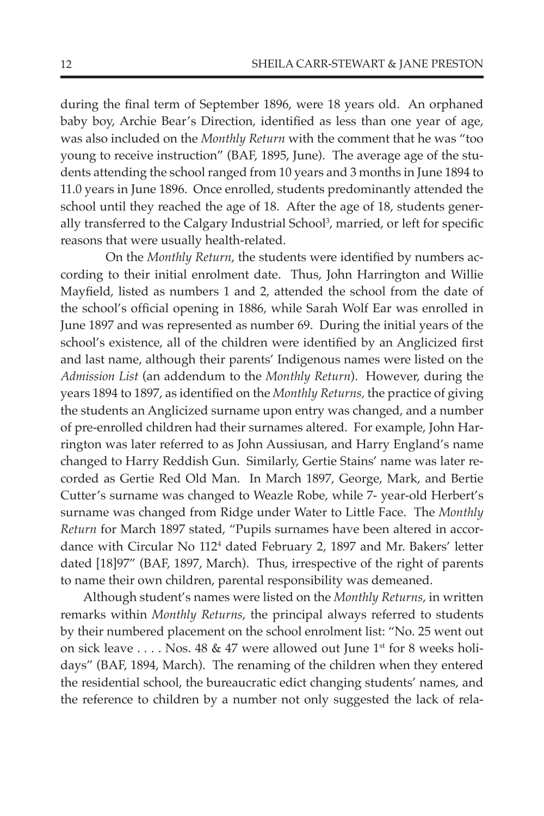during the final term of September 1896, were 18 years old. An orphaned baby boy, Archie Bear's Direction, identified as less than one year of age, was also included on the *Monthly Return* with the comment that he was "too young to receive instruction" (BAF, 1895, June). The average age of the students attending the school ranged from 10 years and 3 months in June 1894 to 11.0 years in June 1896. Once enrolled, students predominantly attended the school until they reached the age of 18. After the age of 18, students generally transferred to the Calgary Industrial School<sup>3</sup>, married, or left for specific reasons that were usually health-related.

On the *Monthly Return*, the students were identified by numbers according to their initial enrolment date. Thus, John Harrington and Willie Mayfield, listed as numbers 1 and 2, attended the school from the date of the school's official opening in 1886, while Sarah Wolf Ear was enrolled in June 1897 and was represented as number 69. During the initial years of the school's existence, all of the children were identified by an Anglicized first and last name, although their parents' Indigenous names were listed on the *Admission List* (an addendum to the *Monthly Return*). However, during the years 1894 to 1897, as identified on the *Monthly Returns,* the practice of giving the students an Anglicized surname upon entry was changed, and a number of pre-enrolled children had their surnames altered. For example, John Harrington was later referred to as John Aussiusan, and Harry England's name changed to Harry Reddish Gun. Similarly, Gertie Stains' name was later recorded as Gertie Red Old Man. In March 1897, George, Mark, and Bertie Cutter's surname was changed to Weazle Robe, while 7- year-old Herbert's surname was changed from Ridge under Water to Little Face. The *Monthly Return* for March 1897 stated, "Pupils surnames have been altered in accordance with Circular No 112<sup>4</sup> dated February 2, 1897 and Mr. Bakers' letter dated [18]97" (BAF, 1897, March). Thus, irrespective of the right of parents to name their own children, parental responsibility was demeaned.

Although student's names were listed on the *Monthly Returns*, in written remarks within *Monthly Returns*, the principal always referred to students by their numbered placement on the school enrolment list: "No. 25 went out on sick leave  $\dots$  Nos. 48 & 47 were allowed out June 1<sup>st</sup> for 8 weeks holidays" (BAF, 1894, March). The renaming of the children when they entered the residential school, the bureaucratic edict changing students' names, and the reference to children by a number not only suggested the lack of rela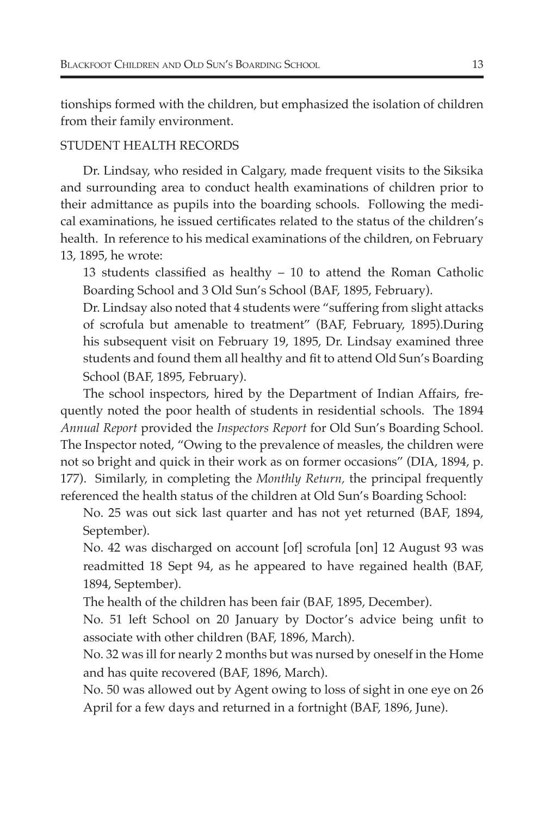tionships formed with the children, but emphasized the isolation of children from their family environment.

### STUDENT HEALTH RECORDS

Dr. Lindsay, who resided in Calgary, made frequent visits to the Siksika and surrounding area to conduct health examinations of children prior to their admittance as pupils into the boarding schools. Following the medical examinations, he issued certificates related to the status of the children's health. In reference to his medical examinations of the children, on February 13, 1895, he wrote:

13 students classified as healthy – 10 to attend the Roman Catholic Boarding School and 3 Old Sun's School (BAF, 1895, February).

Dr. Lindsay also noted that 4 students were "suffering from slight attacks of scrofula but amenable to treatment" (BAF, February, 1895).During his subsequent visit on February 19, 1895, Dr. Lindsay examined three students and found them all healthy and fit to attend Old Sun's Boarding School (BAF, 1895, February).

The school inspectors, hired by the Department of Indian Affairs, frequently noted the poor health of students in residential schools. The 1894 *Annual Report* provided the *Inspectors Report* for Old Sun's Boarding School. The Inspector noted, "Owing to the prevalence of measles, the children were not so bright and quick in their work as on former occasions" (DIA, 1894, p. 177). Similarly, in completing the *Monthly Return,* the principal frequently referenced the health status of the children at Old Sun's Boarding School:

No. 25 was out sick last quarter and has not yet returned (BAF, 1894, September).

No. 42 was discharged on account [of] scrofula [on] 12 August 93 was readmitted 18 Sept 94, as he appeared to have regained health (BAF, 1894, September).

The health of the children has been fair (BAF, 1895, December).

No. 51 left School on 20 January by Doctor's advice being unfit to associate with other children (BAF, 1896, March).

No. 32 was ill for nearly 2 months but was nursed by oneself in the Home and has quite recovered (BAF, 1896, March).

No. 50 was allowed out by Agent owing to loss of sight in one eye on 26 April for a few days and returned in a fortnight (BAF, 1896, June).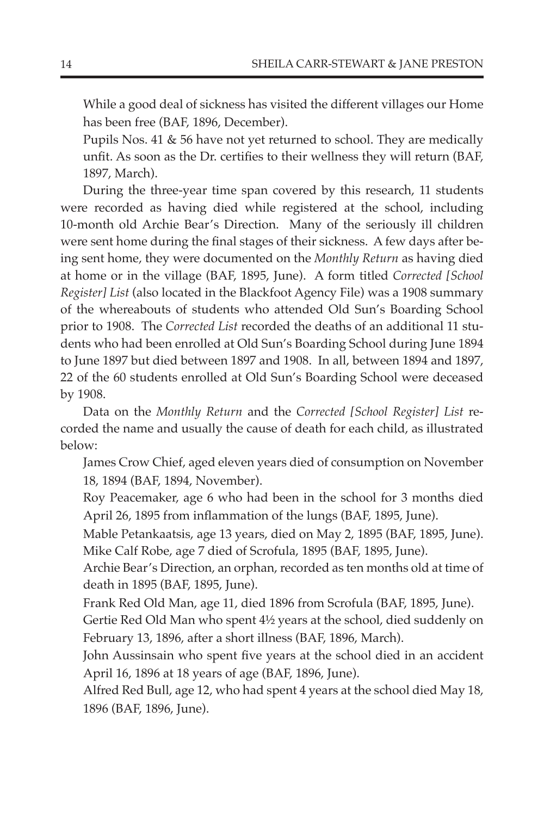While a good deal of sickness has visited the different villages our Home has been free (BAF, 1896, December).

Pupils Nos. 41 & 56 have not yet returned to school. They are medically unfit. As soon as the Dr. certifies to their wellness they will return (BAF, 1897, March).

During the three-year time span covered by this research, 11 students were recorded as having died while registered at the school, including 10-month old Archie Bear's Direction. Many of the seriously ill children were sent home during the final stages of their sickness. A few days after being sent home, they were documented on the *Monthly Return* as having died at home or in the village (BAF, 1895, June). A form titled *Corrected [School Register] List* (also located in the Blackfoot Agency File) was a 1908 summary of the whereabouts of students who attended Old Sun's Boarding School prior to 1908. The *Corrected List* recorded the deaths of an additional 11 students who had been enrolled at Old Sun's Boarding School during June 1894 to June 1897 but died between 1897 and 1908. In all, between 1894 and 1897, 22 of the 60 students enrolled at Old Sun's Boarding School were deceased by 1908.

Data on the *Monthly Return* and the *Corrected [School Register] List* recorded the name and usually the cause of death for each child, as illustrated below:

James Crow Chief, aged eleven years died of consumption on November 18, 1894 (BAF, 1894, November).

Roy Peacemaker, age 6 who had been in the school for 3 months died April 26, 1895 from inflammation of the lungs (BAF, 1895, June).

Mable Petankaatsis, age 13 years, died on May 2, 1895 (BAF, 1895, June). Mike Calf Robe, age 7 died of Scrofula, 1895 (BAF, 1895, June).

Archie Bear's Direction, an orphan, recorded as ten months old at time of death in 1895 (BAF, 1895, June).

Frank Red Old Man, age 11, died 1896 from Scrofula (BAF, 1895, June).

Gertie Red Old Man who spent 4½ years at the school, died suddenly on February 13, 1896, after a short illness (BAF, 1896, March).

John Aussinsain who spent five years at the school died in an accident April 16, 1896 at 18 years of age (BAF, 1896, June).

Alfred Red Bull, age 12, who had spent 4 years at the school died May 18, 1896 (BAF, 1896, June).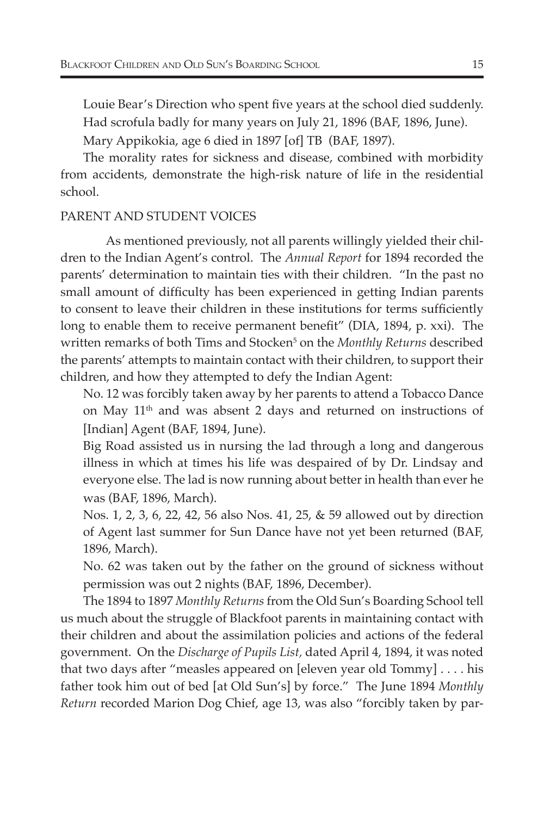Louie Bear's Direction who spent five years at the school died suddenly. Had scrofula badly for many years on July 21, 1896 (BAF, 1896, June). Mary Appikokia, age 6 died in 1897 [of] TB (BAF, 1897).

The morality rates for sickness and disease, combined with morbidity from accidents, demonstrate the high-risk nature of life in the residential school.

### PARENT AND STUDENT VOICES

As mentioned previously, not all parents willingly yielded their children to the Indian Agent's control. The *Annual Report* for 1894 recorded the parents' determination to maintain ties with their children. "In the past no small amount of difficulty has been experienced in getting Indian parents to consent to leave their children in these institutions for terms sufficiently long to enable them to receive permanent benefit" (DIA, 1894, p. xxi). The written remarks of both Tims and Stocken5 on the *Monthly Returns* described the parents' attempts to maintain contact with their children, to support their children, and how they attempted to defy the Indian Agent:

No. 12 was forcibly taken away by her parents to attend a Tobacco Dance on May  $11<sup>th</sup>$  and was absent 2 days and returned on instructions of [Indian] Agent (BAF, 1894, June).

Big Road assisted us in nursing the lad through a long and dangerous illness in which at times his life was despaired of by Dr. Lindsay and everyone else. The lad is now running about better in health than ever he was (BAF, 1896, March).

Nos. 1, 2, 3, 6, 22, 42, 56 also Nos. 41, 25, & 59 allowed out by direction of Agent last summer for Sun Dance have not yet been returned (BAF, 1896, March).

No. 62 was taken out by the father on the ground of sickness without permission was out 2 nights (BAF, 1896, December).

The 1894 to 1897 *Monthly Returns* from the Old Sun's Boarding School tell us much about the struggle of Blackfoot parents in maintaining contact with their children and about the assimilation policies and actions of the federal government. On the *Discharge of Pupils List,* dated April 4, 1894, it was noted that two days after "measles appeared on [eleven year old Tommy] . . . . his father took him out of bed [at Old Sun's] by force." The June 1894 *Monthly Return* recorded Marion Dog Chief, age 13, was also "forcibly taken by par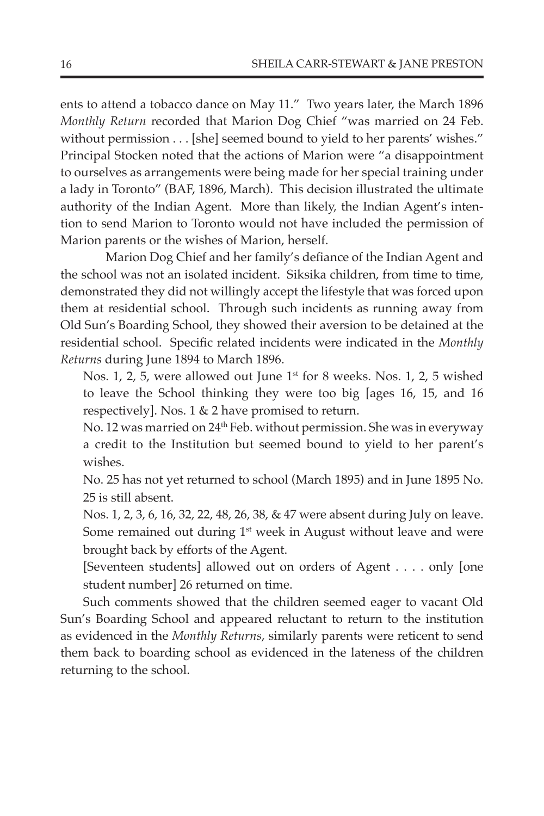ents to attend a tobacco dance on May 11." Two years later, the March 1896 *Monthly Return* recorded that Marion Dog Chief "was married on 24 Feb. without permission . . . [she] seemed bound to yield to her parents' wishes." Principal Stocken noted that the actions of Marion were "a disappointment to ourselves as arrangements were being made for her special training under a lady in Toronto" (BAF, 1896, March). This decision illustrated the ultimate authority of the Indian Agent. More than likely, the Indian Agent's intention to send Marion to Toronto would not have included the permission of Marion parents or the wishes of Marion, herself.

 Marion Dog Chief and her family's defiance of the Indian Agent and the school was not an isolated incident. Siksika children, from time to time, demonstrated they did not willingly accept the lifestyle that was forced upon them at residential school. Through such incidents as running away from Old Sun's Boarding School, they showed their aversion to be detained at the residential school. Specific related incidents were indicated in the *Monthly Returns* during June 1894 to March 1896.

Nos. 1, 2, 5, were allowed out June  $1<sup>st</sup>$  for 8 weeks. Nos. 1, 2, 5 wished to leave the School thinking they were too big [ages 16, 15, and 16 respectively]. Nos. 1 & 2 have promised to return.

No. 12 was married on 24<sup>th</sup> Feb. without permission. She was in everyway a credit to the Institution but seemed bound to yield to her parent's wishes.

No. 25 has not yet returned to school (March 1895) and in June 1895 No. 25 is still absent.

Nos. 1, 2, 3, 6, 16, 32, 22, 48, 26, 38, & 47 were absent during July on leave. Some remained out during  $1<sup>st</sup>$  week in August without leave and were brought back by efforts of the Agent.

[Seventeen students] allowed out on orders of Agent . . . . only [one student number] 26 returned on time.

Such comments showed that the children seemed eager to vacant Old Sun's Boarding School and appeared reluctant to return to the institution as evidenced in the *Monthly Returns*, similarly parents were reticent to send them back to boarding school as evidenced in the lateness of the children returning to the school.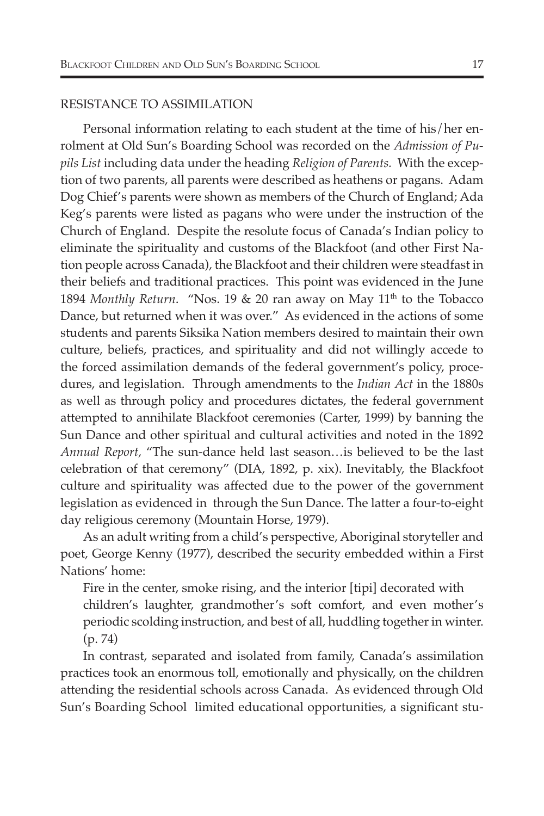### RESISTANCE TO ASSIMILATION

Personal information relating to each student at the time of his/her enrolment at Old Sun's Boarding School was recorded on the *Admission of Pupils List* including data under the heading *Religion of Parents.* With the exception of two parents, all parents were described as heathens or pagans. Adam Dog Chief's parents were shown as members of the Church of England; Ada Keg's parents were listed as pagans who were under the instruction of the Church of England. Despite the resolute focus of Canada's Indian policy to eliminate the spirituality and customs of the Blackfoot (and other First Nation people across Canada), the Blackfoot and their children were steadfast in their beliefs and traditional practices. This point was evidenced in the June 1894 *Monthly Return*. "Nos. 19 & 20 ran away on May 11th to the Tobacco Dance, but returned when it was over." As evidenced in the actions of some students and parents Siksika Nation members desired to maintain their own culture, beliefs, practices, and spirituality and did not willingly accede to the forced assimilation demands of the federal government's policy, procedures, and legislation. Through amendments to the *Indian Act* in the 1880s as well as through policy and procedures dictates, the federal government attempted to annihilate Blackfoot ceremonies (Carter, 1999) by banning the Sun Dance and other spiritual and cultural activities and noted in the 1892 *Annual Report,* "The sun-dance held last season…is believed to be the last celebration of that ceremony" (DIA, 1892, p. xix). Inevitably, the Blackfoot culture and spirituality was affected due to the power of the government legislation as evidenced in through the Sun Dance. The latter a four-to-eight day religious ceremony (Mountain Horse, 1979).

As an adult writing from a child's perspective, Aboriginal storyteller and poet, George Kenny (1977), described the security embedded within a First Nations' home:

Fire in the center, smoke rising, and the interior [tipi] decorated with children's laughter, grandmother's soft comfort, and even mother's periodic scolding instruction, and best of all, huddling together in winter. (p. 74)

In contrast, separated and isolated from family, Canada's assimilation practices took an enormous toll, emotionally and physically, on the children attending the residential schools across Canada. As evidenced through Old Sun's Boarding School limited educational opportunities, a significant stu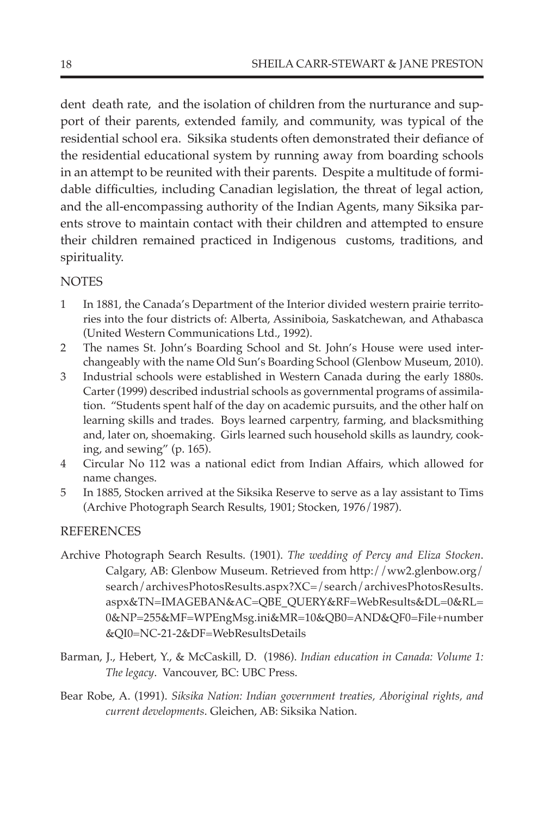dent death rate, and the isolation of children from the nurturance and support of their parents, extended family, and community, was typical of the residential school era. Siksika students often demonstrated their defiance of the residential educational system by running away from boarding schools in an attempt to be reunited with their parents. Despite a multitude of formidable difficulties, including Canadian legislation, the threat of legal action, and the all-encompassing authority of the Indian Agents, many Siksika parents strove to maintain contact with their children and attempted to ensure their children remained practiced in Indigenous customs, traditions, and spirituality.

## **NOTES**

- 1 In 1881, the Canada's Department of the Interior divided western prairie territories into the four districts of: Alberta, Assiniboia, Saskatchewan, and Athabasca (United Western Communications Ltd., 1992).
- 2 The names St. John's Boarding School and St. John's House were used interchangeably with the name Old Sun's Boarding School (Glenbow Museum, 2010).
- 3 Industrial schools were established in Western Canada during the early 1880s. Carter (1999) described industrial schools as governmental programs of assimilation. "Students spent half of the day on academic pursuits, and the other half on learning skills and trades. Boys learned carpentry, farming, and blacksmithing and, later on, shoemaking. Girls learned such household skills as laundry, cooking, and sewing" (p. 165).
- 4 Circular No 112 was a national edict from Indian Affairs, which allowed for name changes.
- 5 In 1885, Stocken arrived at the Siksika Reserve to serve as a lay assistant to Tims (Archive Photograph Search Results, 1901; Stocken, 1976/1987).

### REFERENCES

- Archive Photograph Search Results. (1901). *The wedding of Percy and Eliza Stocken*. Calgary, AB: Glenbow Museum. Retrieved from http://ww2.glenbow.org/ search/archivesPhotosResults.aspx?XC=/search/archivesPhotosResults. aspx&TN=IMAGEBAN&AC=QBE\_QUERY&RF=WebResults&DL=0&RL= 0&NP=255&MF=WPEngMsg.ini&MR=10&QB0=AND&QF0=File+number &QI0=NC-21-2&DF=WebResultsDetails
- Barman, J., Hebert, Y., & McCaskill, D. (1986). *Indian education in Canada: Volume 1: The legacy*. Vancouver, BC: UBC Press.
- Bear Robe, A. (1991). *Siksika Nation: Indian government treaties, Aboriginal rights, and current developments*. Gleichen, AB: Siksika Nation.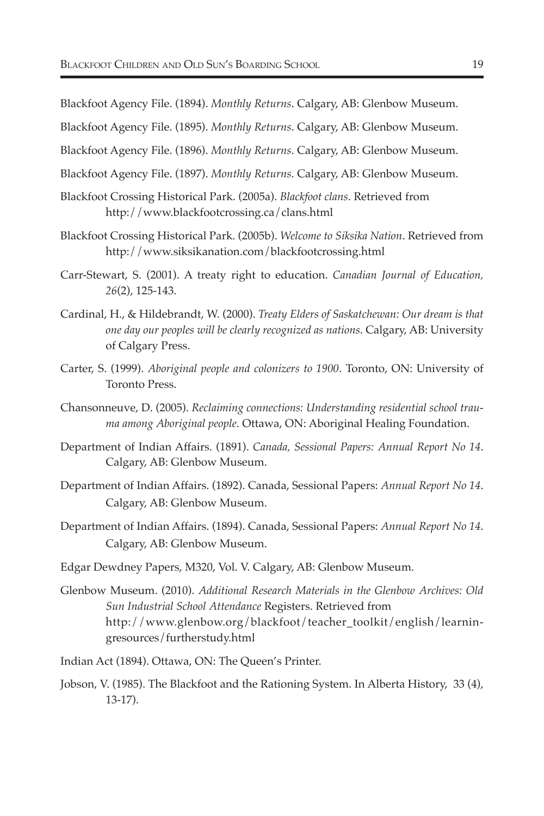Blackfoot Agency File. (1894). *Monthly Returns*. Calgary, AB: Glenbow Museum.

Blackfoot Agency File. (1895). *Monthly Returns*. Calgary, AB: Glenbow Museum.

Blackfoot Agency File. (1896). *Monthly Returns*. Calgary, AB: Glenbow Museum.

Blackfoot Agency File. (1897). *Monthly Returns*. Calgary, AB: Glenbow Museum.

- Blackfoot Crossing Historical Park. (2005a). *Blackfoot clans*. Retrieved from http://www.blackfootcrossing.ca/clans.html
- Blackfoot Crossing Historical Park. (2005b). *Welcome to Siksika Nation*. Retrieved from http://www.siksikanation.com/blackfootcrossing.html
- Carr-Stewart, S. (2001). A treaty right to education. *Canadian Journal of Education, 26*(2), 125-143.
- Cardinal, H., & Hildebrandt, W. (2000). *Treaty Elders of Saskatchewan: Our dream is that one day our peoples will be clearly recognized as nations*. Calgary, AB: University of Calgary Press.
- Carter, S. (1999). *Aboriginal people and colonizers to 1900*. Toronto, ON: University of Toronto Press.
- Chansonneuve, D. (2005). *Reclaiming connections: Understanding residential school trauma among Aboriginal people*. Ottawa, ON: Aboriginal Healing Foundation.
- Department of Indian Affairs. (1891). *Canada, Sessional Papers: Annual Report No 14*. Calgary, AB: Glenbow Museum.
- Department of Indian Affairs. (1892). Canada, Sessional Papers: *Annual Report No 14*. Calgary, AB: Glenbow Museum.
- Department of Indian Affairs. (1894). Canada, Sessional Papers: *Annual Report No 14*. Calgary, AB: Glenbow Museum.

Edgar Dewdney Papers, M320, Vol. V. Calgary, AB: Glenbow Museum.

Glenbow Museum. (2010). *Additional Research Materials in the Glenbow Archives: Old Sun Industrial School Attendance* Registers. Retrieved from http://www.glenbow.org/blackfoot/teacher\_toolkit/english/learningresources/furtherstudy.html

Indian Act (1894). Ottawa, ON: The Queen's Printer.

Jobson, V. (1985). The Blackfoot and the Rationing System. In Alberta History, 33 (4), 13-17).